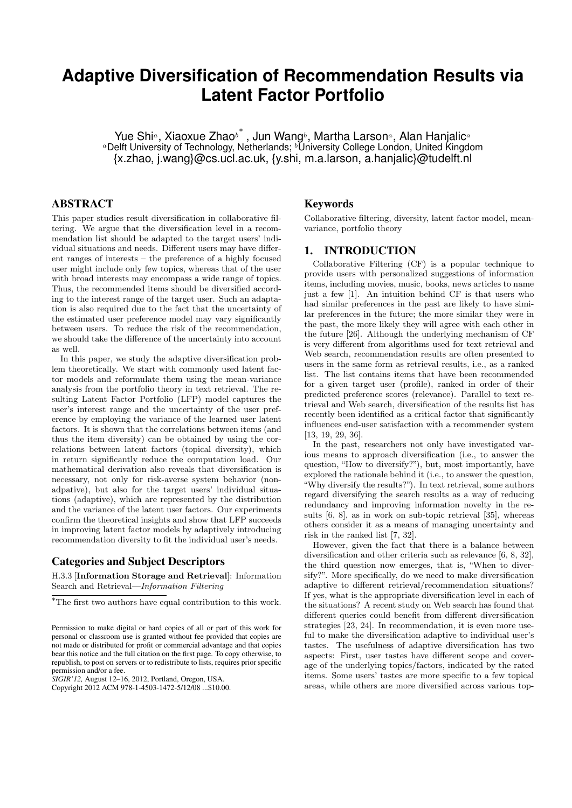# **Adaptive Diversification of Recommendation Results via Latent Factor Portfolio**

Yue Shi<sub>"</sub>, Xiaoxue Zhao<sup> $_b$ \*</sup> , Jun Wang<sup> $_b$ </sup>, Martha Larson<sub>"</sub>, Alan Hanjalic<sub>"</sub> <sup>a</sup>Delft University of Technology, Netherlands; <sup>b</sup>University College London, United Kingdom {x.zhao, j.wang}@cs.ucl.ac.uk, {y.shi, m.a.larson, a.hanjalic}@tudelft.nl

## ABSTRACT

This paper studies result diversification in collaborative filtering. We argue that the diversification level in a recommendation list should be adapted to the target users' individual situations and needs. Different users may have different ranges of interests – the preference of a highly focused user might include only few topics, whereas that of the user with broad interests may encompass a wide range of topics. Thus, the recommended items should be diversified according to the interest range of the target user. Such an adaptation is also required due to the fact that the uncertainty of the estimated user preference model may vary significantly between users. To reduce the risk of the recommendation, we should take the difference of the uncertainty into account as well.

In this paper, we study the adaptive diversification problem theoretically. We start with commonly used latent factor models and reformulate them using the mean-variance analysis from the portfolio theory in text retrieval. The resulting Latent Factor Portfolio (LFP) model captures the user's interest range and the uncertainty of the user preference by employing the variance of the learned user latent factors. It is shown that the correlations between items (and thus the item diversity) can be obtained by using the correlations between latent factors (topical diversity), which in return significantly reduce the computation load. Our mathematical derivation also reveals that diversification is necessary, not only for risk-averse system behavior (nonadpative), but also for the target users' individual situations (adaptive), which are represented by the distribution and the variance of the latent user factors. Our experiments confirm the theoretical insights and show that LFP succeeds in improving latent factor models by adaptively introducing recommendation diversity to fit the individual user's needs.

## Categories and Subject Descriptors

H.3.3 [Information Storage and Retrieval]: Information Search and Retrieval—Information Filtering

*SIGIR'12,* August 12–16, 2012, Portland, Oregon, USA.

Copyright 2012 ACM 978-1-4503-1472-5/12/08 ...\$10.00.

## Keywords

Collaborative filtering, diversity, latent factor model, meanvariance, portfolio theory

## 1. INTRODUCTION

Collaborative Filtering (CF) is a popular technique to provide users with personalized suggestions of information items, including movies, music, books, news articles to name just a few [1]. An intuition behind CF is that users who had similar preferences in the past are likely to have similar preferences in the future; the more similar they were in the past, the more likely they will agree with each other in the future [26]. Although the underlying mechanism of CF is very different from algorithms used for text retrieval and Web search, recommendation results are often presented to users in the same form as retrieval results, i.e., as a ranked list. The list contains items that have been recommended for a given target user (profile), ranked in order of their predicted preference scores (relevance). Parallel to text retrieval and Web search, diversification of the results list has recently been identified as a critical factor that significantly influences end-user satisfaction with a recommender system [13, 19, 29, 36].

In the past, researchers not only have investigated various means to approach diversification (i.e., to answer the question, "How to diversify?"), but, most importantly, have explored the rationale behind it (i.e., to answer the question, "Why diversify the results?"). In text retrieval, some authors regard diversifying the search results as a way of reducing redundancy and improving information novelty in the results [6, 8], as in work on sub-topic retrieval [35], whereas others consider it as a means of managing uncertainty and risk in the ranked list [7, 32].

However, given the fact that there is a balance between diversification and other criteria such as relevance [6, 8, 32], the third question now emerges, that is, "When to diversify?". More specifically, do we need to make diversification adaptive to different retrieval/recommendation situations? If yes, what is the appropriate diversification level in each of the situations? A recent study on Web search has found that different queries could benefit from different diversification strategies [23, 24]. In recommendation, it is even more useful to make the diversification adaptive to individual user's tastes. The usefulness of adaptive diversification has two aspects: First, user tastes have different scope and coverage of the underlying topics/factors, indicated by the rated items. Some users' tastes are more specific to a few topical areas, while others are more diversified across various top-

<sup>∗</sup>The first two authors have equal contribution to this work.

Permission to make digital or hard copies of all or part of this work for personal or classroom use is granted without fee provided that copies are not made or distributed for profit or commercial advantage and that copies bear this notice and the full citation on the first page. To copy otherwise, to republish, to post on servers or to redistribute to lists, requires prior specific permission and/or a fee.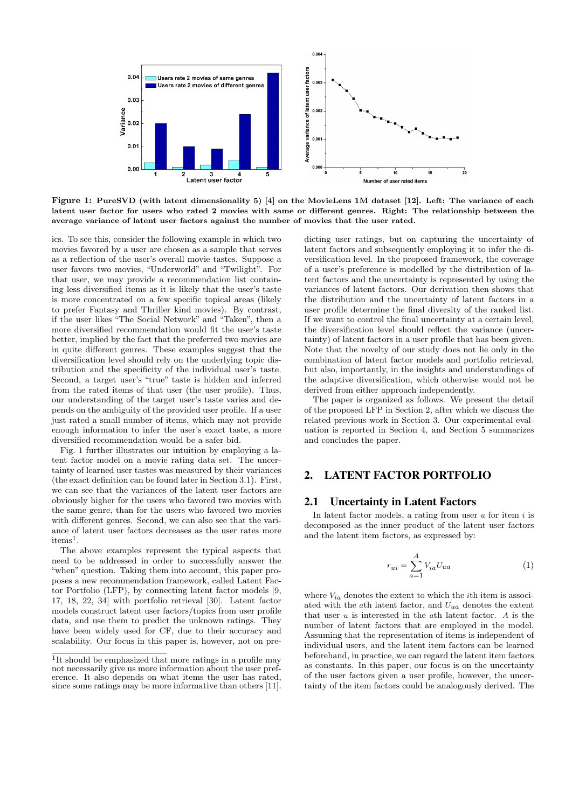

Figure 1: PureSVD (with latent dimensionality 5) [4] on the MovieLens 1M dataset [12]. Left: The variance of each latent user factor for users who rated 2 movies with same or different genres. Right: The relationship between the average variance of latent user factors against the number of movies that the user rated.

ics. To see this, consider the following example in which two movies favored by a user are chosen as a sample that serves as a reflection of the user's overall movie tastes. Suppose a user favors two movies, "Underworld" and "Twilight". For that user, we may provide a recommendation list containing less diversified items as it is likely that the user's taste is more concentrated on a few specific topical areas (likely to prefer Fantasy and Thriller kind movies). By contrast, if the user likes "The Social Network" and "Taken", then a more diversified recommendation would fit the user's taste better, implied by the fact that the preferred two movies are in quite different genres. These examples suggest that the diversification level should rely on the underlying topic distribution and the specificity of the individual user's taste. Second, a target user's "true" taste is hidden and inferred from the rated items of that user (the user profile). Thus, our understanding of the target user's taste varies and depends on the ambiguity of the provided user profile. If a user just rated a small number of items, which may not provide enough information to infer the user's exact taste, a more diversified recommendation would be a safer bid.

Fig. 1 further illustrates our intuition by employing a latent factor model on a movie rating data set. The uncertainty of learned user tastes was measured by their variances (the exact definition can be found later in Section 3.1). First, we can see that the variances of the latent user factors are obviously higher for the users who favored two movies with the same genre, than for the users who favored two movies with different genres. Second, we can also see that the variance of latent user factors decreases as the user rates more items1.

The above examples represent the typical aspects that need to be addressed in order to successfully answer the "when" question. Taking them into account, this paper proposes a new recommendation framework, called Latent Factor Portfolio (LFP), by connecting latent factor models [9, 17, 18, 22, 34] with portfolio retrieval [30]. Latent factor models construct latent user factors/topics from user profile data, and use them to predict the unknown ratings. They have been widely used for CF, due to their accuracy and scalability. Our focus in this paper is, however, not on predicting user ratings, but on capturing the uncertainty of latent factors and subsequently employing it to infer the diversification level. In the proposed framework, the coverage of a user's preference is modelled by the distribution of latent factors and the uncertainty is represented by using the variances of latent factors. Our derivation then shows that the distribution and the uncertainty of latent factors in a user profile determine the final diversity of the ranked list. If we want to control the final uncertainty at a certain level, the diversification level should reflect the variance (uncertainty) of latent factors in a user profile that has been given. Note that the novelty of our study does not lie only in the combination of latent factor models and portfolio retrieval, but also, importantly, in the insights and understandings of the adaptive diversification, which otherwise would not be derived from either approach independently.

The paper is organized as follows. We present the detail of the proposed LFP in Section 2, after which we discuss the related previous work in Section 3. Our experimental evaluation is reported in Section 4, and Section 5 summarizes and concludes the paper.

# 2. LATENT FACTOR PORTFOLIO

## 2.1 Uncertainty in Latent Factors

In latent factor models, a rating from user  $u$  for item  $i$  is decomposed as the inner product of the latent user factors and the latent item factors, as expressed by:

$$
r_{ui} = \sum_{a=1}^{A} V_{ia} U_{ua} \tag{1}
$$

where  $V_{ia}$  denotes the extent to which the *i*th item is associated with the  $a$ th latent factor, and  $U_{ua}$  denotes the extent that user  $u$  is interested in the  $a$ th latent factor.  $A$  is the number of latent factors that are employed in the model. Assuming that the representation of items is independent of individual users, and the latent item factors can be learned beforehand, in practice, we can regard the latent item factors as constants. In this paper, our focus is on the uncertainty of the user factors given a user profile, however, the uncertainty of the item factors could be analogously derived. The

<sup>&</sup>lt;sup>1</sup>It should be emphasized that more ratings in a profile may not necessarily give us more information about the user preference. It also depends on what items the user has rated, since some ratings may be more informative than others [11].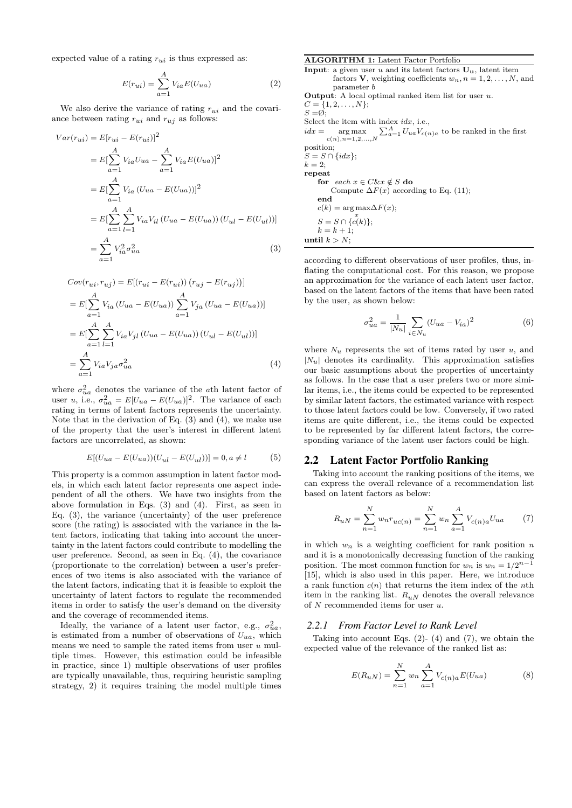expected value of a rating  $r_{ui}$  is thus expressed as:

$$
E(r_{ui}) = \sum_{a=1}^{A} V_{ia} E(U_{ua})
$$
 (2)

We also derive the variance of rating  $r_{ui}$  and the covariance between rating  $r_{ui}$  and  $r_{uj}$  as follows:

$$
Var(r_{ui}) = E[r_{ui} - E(r_{ui})]^{2}
$$
  
=  $E[\sum_{a=1}^{A} V_{ia}U_{ua} - \sum_{a=1}^{A} V_{ia}E(U_{ua})]^{2}$   
=  $E[\sum_{a=1}^{A} V_{ia} (U_{ua} - E(U_{ua}))]^{2}$   
=  $E[\sum_{a=1}^{A} \sum_{l=1}^{A} V_{ia}V_{il} (U_{ua} - E(U_{ua})) (U_{ul} - E(U_{ul}))]$   
=  $\sum_{a=1}^{A} V_{ia}^{2} \sigma_{ua}^{2}$  (3)

$$
Cov(r_{ui}, r_{uj}) = E[(r_{ui} - E(r_{ui})) (r_{uj} - E(r_{uj}))]
$$
  
\n
$$
= E[\sum_{a=1}^{A} V_{ia} (U_{ua} - E(U_{ua})) \sum_{a=1}^{A} V_{ja} (U_{ua} - E(U_{ua}))]
$$
  
\n
$$
= E[\sum_{a=1}^{A} \sum_{l=1}^{A} V_{ia} V_{jl} (U_{ua} - E(U_{ua})) (U_{ul} - E(U_{ul}))]
$$
  
\n
$$
= \sum_{a=1}^{A} V_{ia} V_{ja} \sigma_{ua}^{2}
$$
 (4)

where  $\sigma_{ua}^2$  denotes the variance of the ath latent factor of user *u*, i.e.,  $\sigma_{ua}^2 = E[U_{ua} - E(U_{ua})]^2$ . The variance of each rating in terms of latent factors represents the uncertainty. Note that in the derivation of Eq. (3) and (4), we make use of the property that the user's interest in different latent factors are uncorrelated, as shown:

$$
E[(U_{ua} - E(U_{ua}))(U_{ul} - E(U_{ul}))] = 0, a \neq l \tag{5}
$$

This property is a common assumption in latent factor models, in which each latent factor represents one aspect independent of all the others. We have two insights from the above formulation in Eqs. (3) and (4). First, as seen in Eq. (3), the variance (uncertainty) of the user preference score (the rating) is associated with the variance in the latent factors, indicating that taking into account the uncertainty in the latent factors could contribute to modelling the user preference. Second, as seen in Eq. (4), the covariance (proportionate to the correlation) between a user's preferences of two items is also associated with the variance of the latent factors, indicating that it is feasible to exploit the uncertainty of latent factors to regulate the recommended items in order to satisfy the user's demand on the diversity and the coverage of recommended items.

Ideally, the variance of a latent user factor, e.g.,  $\sigma_{ua}^2$ , is estimated from a number of observations of  $U_{ua}$ , which means we need to sample the rated items from user  $u$  multiple times. However, this estimation could be infeasible in practice, since 1) multiple observations of user profiles are typically unavailable, thus, requiring heuristic sampling strategy, 2) it requires training the model multiple times

#### ALGORITHM 1: Latent Factor Portfolio

**Input:** a given user u and its latent factors  $U_{\mu}$ , latent item factors **V**, weighting coefficients  $w_n$ ,  $n = 1, 2, ..., N$ , and parameter b **Output:** A local optimal ranked item list for user  $u$ .  $C = \{1, 2, \ldots, N\};$  $S = \overrightarrow{Q}$ : Select the item with index  $idx$ , i.e.,  $idx = \arg \max$  $c(n), n=1,2,...$  $\sum_{a=1}^{A} U_{ua} V_{c(n)a}$  to be ranked in the first position;  $S = S \cap \{idx\};$  $k = 2$ : repeat each  $x \in C\&x \notin S$  do Compute  $\Delta F(x)$  according to Eq. (11); end  $c(k) = \arg \max \Delta F(x);$  $S = S \cap \{c(k)\};$  $k = k + 1;$ until  $k > N$ :

according to different observations of user profiles, thus, inflating the computational cost. For this reason, we propose an approximation for the variance of each latent user factor, based on the latent factors of the items that have been rated by the user, as shown below:

$$
\sigma_{ua}^2 = \frac{1}{|N_u|} \sum_{i \in N_u} (U_{ua} - V_{ia})^2
$$
 (6)

where  $N_u$  represents the set of items rated by user u, and  $|N_u|$  denotes its cardinality. This approximation satisfies our basic assumptions about the properties of uncertainty as follows. In the case that a user prefers two or more similar items, i.e., the items could be expected to be represented by similar latent factors, the estimated variance with respect to those latent factors could be low. Conversely, if two rated items are quite different, i.e., the items could be expected to be represented by far different latent factors, the corresponding variance of the latent user factors could be high.

## 2.2 Latent Factor Portfolio Ranking

Taking into account the ranking positions of the items, we can express the overall relevance of a recommendation list based on latent factors as below:

$$
R_{uN} = \sum_{n=1}^{N} w_n r_{uc(n)} = \sum_{n=1}^{N} w_n \sum_{a=1}^{A} V_{c(n)a} U_{ua}
$$
 (7)

in which  $w_n$  is a weighting coefficient for rank position n and it is a monotonically decreasing function of the ranking position. The most common function for  $w_n$  is  $w_n = 1/2^{n-1}$ [15], which is also used in this paper. Here, we introduce a rank function  $c(n)$  that returns the item index of the *n*th item in the ranking list.  $R_{uN}$  denotes the overall relevance of N recommended items for user u.

#### *2.2.1 From Factor Level to Rank Level*

Taking into account Eqs.  $(2)$ -  $(4)$  and  $(7)$ , we obtain the expected value of the relevance of the ranked list as:

$$
E(R_{uN}) = \sum_{n=1}^{N} w_n \sum_{a=1}^{A} V_{c(n)a} E(U_{ua})
$$
 (8)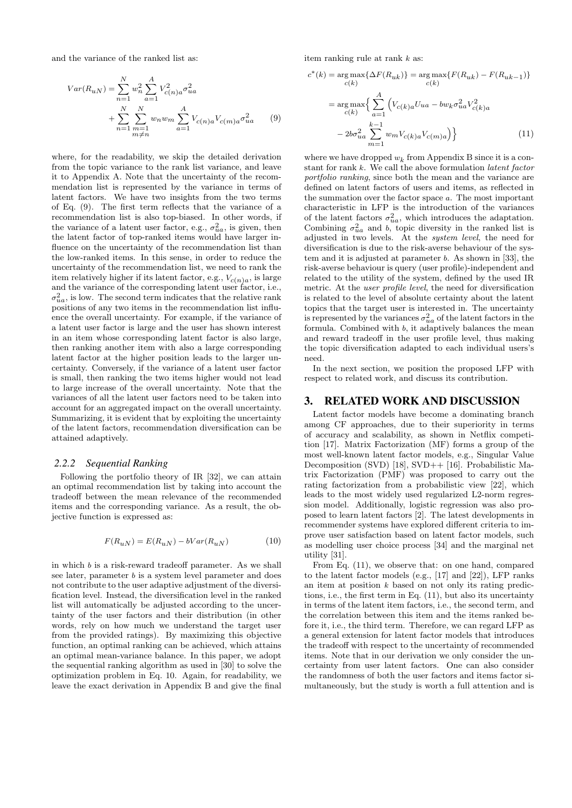and the variance of the ranked list as:

$$
Var(R_{uN}) = \sum_{n=1}^{N} w_n^2 \sum_{a=1}^{A} V_{c(n)a}^2 \sigma_{ua}^2
$$
  
+ 
$$
\sum_{n=1}^{N} \sum_{\substack{m=1 \ m \neq n}}^{N} w_n w_m \sum_{a=1}^{A} V_{c(n)a} V_{c(m)a} \sigma_{ua}^2
$$
 (9)

where, for the readability, we skip the detailed derivation from the topic variance to the rank list variance, and leave it to Appendix A. Note that the uncertainty of the recommendation list is represented by the variance in terms of latent factors. We have two insights from the two terms of Eq. (9). The first term reflects that the variance of a recommendation list is also top-biased. In other words, if the variance of a latent user factor, e.g.,  $\sigma_{ua}^2$ , is given, then the latent factor of top-ranked items would have larger influence on the uncertainty of the recommendation list than the low-ranked items. In this sense, in order to reduce the uncertainty of the recommendation list, we need to rank the item relatively higher if its latent factor, e.g.,  $V_{c(n)a}$ , is large and the variance of the corresponding latent user factor, i.e.,  $\sigma_{ua}^2$ , is low. The second term indicates that the relative rank positions of any two items in the recommendation list influence the overall uncertainty. For example, if the variance of a latent user factor is large and the user has shown interest in an item whose corresponding latent factor is also large, then ranking another item with also a large corresponding latent factor at the higher position leads to the larger uncertainty. Conversely, if the variance of a latent user factor is small, then ranking the two items higher would not lead to large increase of the overall uncertainty. Note that the variances of all the latent user factors need to be taken into account for an aggregated impact on the overall uncertainty. Summarizing, it is evident that by exploiting the uncertainty of the latent factors, recommendation diversification can be attained adaptively.

#### *2.2.2 Sequential Ranking*

Following the portfolio theory of IR [32], we can attain an optimal recommendation list by taking into account the tradeoff between the mean relevance of the recommended items and the corresponding variance. As a result, the objective function is expressed as:

$$
F(R_{uN}) = E(R_{uN}) - bVar(R_{uN})
$$
\n(10)

in which b is a risk-reward tradeoff parameter. As we shall see later, parameter *b* is a system level parameter and does not contribute to the user adaptive adjustment of the diversification level. Instead, the diversification level in the ranked list will automatically be adjusted according to the uncertainty of the user factors and their distribution (in other words, rely on how much we understand the target user from the provided ratings). By maximizing this objective function, an optimal ranking can be achieved, which attains an optimal mean-variance balance. In this paper, we adopt the sequential ranking algorithm as used in [30] to solve the optimization problem in Eq. 10. Again, for readability, we leave the exact derivation in Appendix B and give the final item ranking rule at rank k as:

$$
c^{*}(k) = \underset{c(k)}{\arg \max} \{ \Delta F(R_{uk}) \} = \underset{c(k)}{\arg \max} \{ F(R_{uk}) - F(R_{uk-1}) \}
$$

$$
= \underset{c(k)}{\arg \max} \{ \sum_{a=1}^{A} \left( V_{c(k)a} U_{ua} - bw_{k} \sigma_{ua}^{2} V_{c(k)a}^{2} - 2b \sigma_{ua}^{2} \sum_{m=1}^{k-1} w_{m} V_{c(k)a} V_{c(m)a} \right) \} \tag{11}
$$

where we have dropped  $w_k$  from Appendix B since it is a constant for rank k. We call the above formulation latent factor portfolio ranking, since both the mean and the variance are defined on latent factors of users and items, as reflected in the summation over the factor space a. The most important characteristic in LFP is the introduction of the variances of the latent factors  $\sigma_{ua}^2$ , which introduces the adaptation. Combining  $\sigma_{ua}^2$  and b, topic diversity in the ranked list is adjusted in two levels. At the system level, the need for diversification is due to the risk-averse behaviour of the system and it is adjusted at parameter  $b$ . As shown in [33], the risk-averse behaviour is query (user profile)-independent and related to the utility of the system, defined by the used IR metric. At the user profile level, the need for diversification is related to the level of absolute certainty about the latent topics that the target user is interested in. The uncertainty is represented by the variances  $\sigma_{ua}^2$  of the latent factors in the formula. Combined with b, it adaptively balances the mean and reward tradeoff in the user profile level, thus making the topic diversification adapted to each individual users's need.

In the next section, we position the proposed LFP with respect to related work, and discuss its contribution.

## 3. RELATED WORK AND DISCUSSION

Latent factor models have become a dominating branch among CF approaches, due to their superiority in terms of accuracy and scalability, as shown in Netflix competition [17]. Matrix Factorization (MF) forms a group of the most well-known latent factor models, e.g., Singular Value Decomposition (SVD) [18], SVD++ [16]. Probabilistic Matrix Factorization (PMF) was proposed to carry out the rating factorization from a probabilistic view [22], which leads to the most widely used regularized L2-norm regression model. Additionally, logistic regression was also proposed to learn latent factors [2]. The latest developments in recommender systems have explored different criteria to improve user satisfaction based on latent factor models, such as modelling user choice process [34] and the marginal net utility [31].

From Eq. (11), we observe that: on one hand, compared to the latent factor models (e.g., [17] and [22]), LFP ranks an item at position  $k$  based on not only its rating predictions, i.e., the first term in Eq. (11), but also its uncertainty in terms of the latent item factors, i.e., the second term, and the correlation between this item and the items ranked before it, i.e., the third term. Therefore, we can regard LFP as a general extension for latent factor models that introduces the tradeoff with respect to the uncertainty of recommended items. Note that in our derivation we only consider the uncertainty from user latent factors. One can also consider the randomness of both the user factors and items factor simultaneously, but the study is worth a full attention and is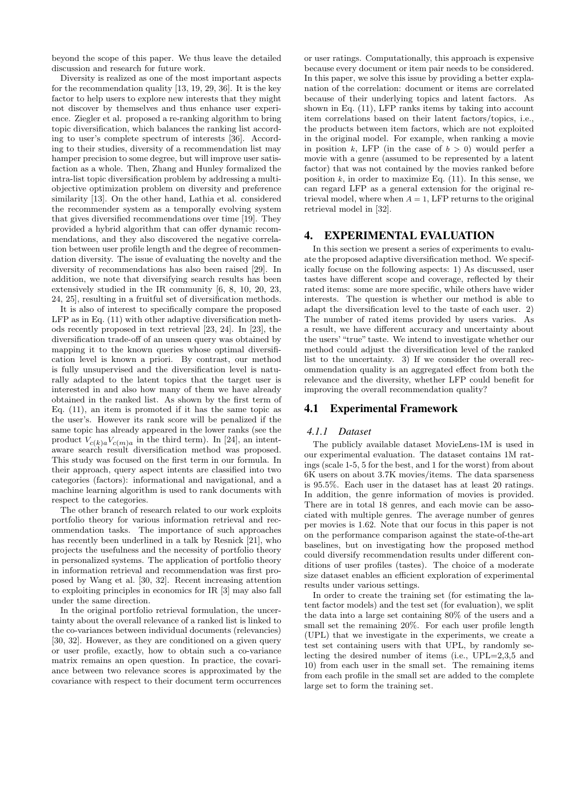beyond the scope of this paper. We thus leave the detailed discussion and research for future work.

Diversity is realized as one of the most important aspects for the recommendation quality [13, 19, 29, 36]. It is the key factor to help users to explore new interests that they might not discover by themselves and thus enhance user experience. Ziegler et al. proposed a re-ranking algorithm to bring topic diversification, which balances the ranking list according to user's complete spectrum of interests [36]. According to their studies, diversity of a recommendation list may hamper precision to some degree, but will improve user satisfaction as a whole. Then, Zhang and Hunley formalized the intra-list topic diversification problem by addressing a multiobjective optimization problem on diversity and preference similarity [13]. On the other hand, Lathia et al. considered the recommender system as a temporally evolving system that gives diversified recommendations over time [19]. They provided a hybrid algorithm that can offer dynamic recommendations, and they also discovered the negative correlation between user profile length and the degree of recommendation diversity. The issue of evaluating the novelty and the diversity of recommendations has also been raised [29]. In addition, we note that diversifying search results has been extensively studied in the IR community [6, 8, 10, 20, 23, 24, 25], resulting in a fruitful set of diversification methods.

It is also of interest to specifically compare the proposed LFP as in Eq. (11) with other adaptive diversification methods recently proposed in text retrieval [23, 24]. In [23], the diversification trade-off of an unseen query was obtained by mapping it to the known queries whose optimal diversification level is known a priori. By contrast, our method is fully unsupervised and the diversification level is naturally adapted to the latent topics that the target user is interested in and also how many of them we have already obtained in the ranked list. As shown by the first term of Eq. (11), an item is promoted if it has the same topic as the user's. However its rank score will be penalized if the same topic has already appeared in the lower ranks (see the product  $V_{c(k)a}V_{c(m)a}$  in the third term). In [24], an intentaware search result diversification method was proposed. This study was focused on the first term in our formula. In their approach, query aspect intents are classified into two categories (factors): informational and navigational, and a machine learning algorithm is used to rank documents with respect to the categories.

The other branch of research related to our work exploits portfolio theory for various information retrieval and recommendation tasks. The importance of such approaches has recently been underlined in a talk by Resnick [21], who projects the usefulness and the necessity of portfolio theory in personalized systems. The application of portfolio theory in information retrieval and recommendation was first proposed by Wang et al. [30, 32]. Recent increasing attention to exploiting principles in economics for IR [3] may also fall under the same direction.

In the original portfolio retrieval formulation, the uncertainty about the overall relevance of a ranked list is linked to the co-variances between individual documents (relevancies) [30, 32]. However, as they are conditioned on a given query or user profile, exactly, how to obtain such a co-variance matrix remains an open question. In practice, the covariance between two relevance scores is approximated by the covariance with respect to their document term occurrences

or user ratings. Computationally, this approach is expensive because every document or item pair needs to be considered. In this paper, we solve this issue by providing a better explanation of the correlation: document or items are correlated because of their underlying topics and latent factors. As shown in Eq. (11), LFP ranks items by taking into account item correlations based on their latent factors/topics, i.e., the products between item factors, which are not exploited in the original model. For example, when ranking a movie in position k, LFP (in the case of  $b > 0$ ) would perfer a movie with a genre (assumed to be represented by a latent factor) that was not contained by the movies ranked before position  $k$ , in order to maximize Eq.  $(11)$ . In this sense, we can regard LFP as a general extension for the original retrieval model, where when  $A = 1$ , LFP returns to the original retrieval model in [32].

## 4. EXPERIMENTAL EVALUATION

In this section we present a series of experiments to evaluate the proposed adaptive diversification method. We specifically focuse on the following aspects: 1) As discussed, user tastes have different scope and coverage, reflected by their rated items: some are more specific, while others have wider interests. The question is whether our method is able to adapt the diversification level to the taste of each user. 2) The number of rated items provided by users varies. As a result, we have different accuracy and uncertainty about the users' "true" taste. We intend to investigate whether our method could adjust the diversification level of the ranked list to the uncertainty. 3) If we consider the overall recommendation quality is an aggregated effect from both the relevance and the diversity, whether LFP could benefit for improving the overall recommendation quality?

## 4.1 Experimental Framework

#### *4.1.1 Dataset*

The publicly available dataset MovieLens-1M is used in our experimental evaluation. The dataset contains 1M ratings (scale 1-5, 5 for the best, and 1 for the worst) from about 6K users on about 3.7K movies/items. The data sparseness is 95.5%. Each user in the dataset has at least 20 ratings. In addition, the genre information of movies is provided. There are in total 18 genres, and each movie can be associated with multiple genres. The average number of genres per movies is 1.62. Note that our focus in this paper is not on the performance comparison against the state-of-the-art baselines, but on investigating how the proposed method could diversify recommendation results under different conditions of user profiles (tastes). The choice of a moderate size dataset enables an efficient exploration of experimental results under various settings.

In order to create the training set (for estimating the latent factor models) and the test set (for evaluation), we split the data into a large set containing 80% of the users and a small set the remaining 20%. For each user profile length (UPL) that we investigate in the experiments, we create a test set containing users with that UPL, by randomly selecting the desired number of items (i.e., UPL=2,3,5 and 10) from each user in the small set. The remaining items from each profile in the small set are added to the complete large set to form the training set.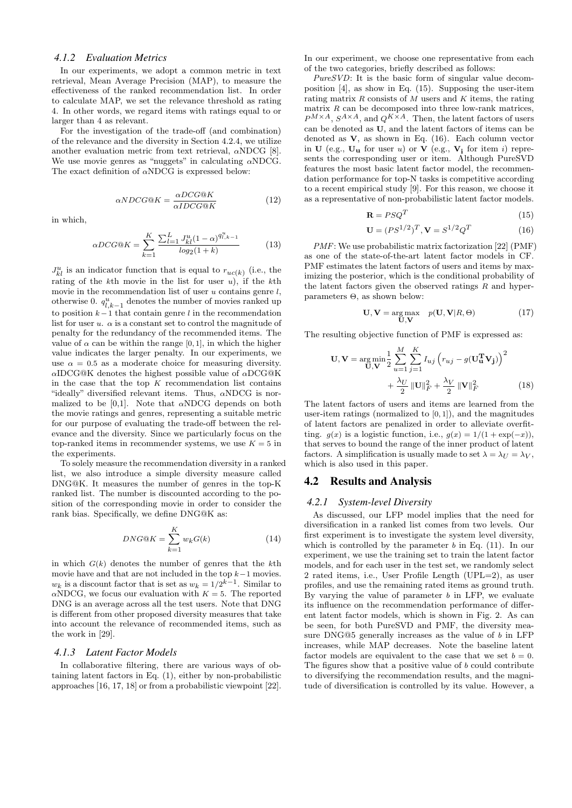#### *4.1.2 Evaluation Metrics*

In our experiments, we adopt a common metric in text retrieval, Mean Average Precision (MAP), to measure the effectiveness of the ranked recommendation list. In order to calculate MAP, we set the relevance threshold as rating 4. In other words, we regard items with ratings equal to or larger than 4 as relevant.

For the investigation of the trade-off (and combination) of the relevance and the diversity in Section 4.2.4, we utilize another evaluation metric from text retrieval,  $\alpha NDCG$  [8]. We use movie genres as "nuggets" in calculating  $\alpha NDCG$ . The exact definition of  $\alpha\text{NDCG}$  is expressed below:

$$
\alpha NDCG@K = \frac{\alpha DCG@K}{\alpha IDCG@K} \tag{12}
$$

in which,

$$
\alpha DCG@K = \sum_{k=1}^{K} \frac{\sum_{l=1}^{L} J_{kl}^{u} (1 - \alpha)^{q_{l,k-1}^{u}}}{log_2(1+k)} \tag{13}
$$

 $J_{kl}^u$  is an indicator function that is equal to  $r_{uc(k)}$  (i.e., the rating of the kth movie in the list for user  $u$ ), if the kth movie in the recommendation list of user  $u$  contains genre  $l$ , otherwise 0.  $q_{l,k-1}^u$  denotes the number of movies ranked up to position  $k-1$  that contain genre l in the recommendation list for user u.  $\alpha$  is a constant set to control the magnitude of penalty for the redundancy of the recommended items. The value of  $\alpha$  can be within the range [0, 1], in which the higher value indicates the larger penalty. In our experiments, we use  $\alpha = 0.5$  as a moderate choice for measuring diversity.  $\alpha$ IDCG@K denotes the highest possible value of  $\alpha$ DCG@K in the case that the top  $K$  recommendation list contains "ideally" diversified relevant items. Thus,  $\alpha NDCG$  is normalized to be [0,1]. Note that  $\alpha NDCG$  depends on both the movie ratings and genres, representing a suitable metric for our purpose of evaluating the trade-off between the relevance and the diversity. Since we particularly focus on the top-ranked items in recommender systems, we use  $K = 5$  in the experiments.

To solely measure the recommendation diversity in a ranked list, we also introduce a simple diversity measure called DNG@K. It measures the number of genres in the top-K ranked list. The number is discounted according to the position of the corresponding movie in order to consider the rank bias. Specifically, we define DNG@K as:

$$
DNG@K = \sum_{k=1}^{K} w_k G(k)
$$
 (14)

in which  $G(k)$  denotes the number of genres that the kth movie have and that are not included in the top  $k-1$  movies.  $w_k$  is a discount factor that is set as  $w_k = 1/2^{k-1}$ . Similar to  $\alpha$ NDCG, we focus our evaluation with  $K = 5$ . The reported DNG is an average across all the test users. Note that DNG is different from other proposed diversity measures that take into account the relevance of recommended items, such as the work in [29].

## *4.1.3 Latent Factor Models*

In collaborative filtering, there are various ways of obtaining latent factors in Eq. (1), either by non-probabilistic approaches [16, 17, 18] or from a probabilistic viewpoint [22]. In our experiment, we choose one representative from each of the two categories, briefly described as follows:

PureSVD: It is the basic form of singular value decomposition [4], as show in Eq. (15). Supposing the user-item rating matrix  $R$  consists of  $M$  users and  $K$  items, the rating matrix  $R$  can be decomposed into three low-rank matrices,  $P^{M \times A}$ ,  $S^{A \times A}$ , and  $Q^{K \times A}$ . Then, the latent factors of users can be denoted as U, and the latent factors of items can be denoted as  $V$ , as shown in Eq. (16). Each column vector in U (e.g.,  $U_u$  for user u) or V (e.g.,  $V_i$  for item i) represents the corresponding user or item. Although PureSVD features the most basic latent factor model, the recommendation performance for top-N tasks is competitive according to a recent empirical study [9]. For this reason, we choose it as a representative of non-probabilistic latent factor models.

$$
\mathbf{R} = PSQ^T \tag{15}
$$

$$
\mathbf{U} = (PS^{1/2})^T, \mathbf{V} = S^{1/2}Q^T
$$
 (16)

PMF: We use probabilistic matrix factorization [22] (PMF) as one of the state-of-the-art latent factor models in CF. PMF estimates the latent factors of users and items by maximizing the posterior, which is the conditional probability of the latent factors given the observed ratings  $R$  and hyperparameters Θ, as shown below:

$$
\mathbf{U}, \mathbf{V} = \underset{\mathbf{U}, \mathbf{V}}{\arg \max} \quad p(\mathbf{U}, \mathbf{V}|R, \Theta) \tag{17}
$$

The resulting objective function of PMF is expressed as:

$$
\mathbf{U}, \mathbf{V} = \underset{\mathbf{U}, \mathbf{V}}{\arg \min} \frac{1}{2} \sum_{u=1}^{M} \sum_{j=1}^{K} I_{uj} \left( r_{uj} - g(\mathbf{U}_{\mathbf{u}}^{\mathbf{T}} \mathbf{V}_{\mathbf{j}}) \right)^2
$$

$$
+ \frac{\lambda_U}{2} \|\mathbf{U}\|_F^2 + \frac{\lambda_V}{2} \|\mathbf{V}\|_F^2 \tag{18}
$$

The latent factors of users and items are learned from the user-item ratings (normalized to [0, 1]), and the magnitudes of latent factors are penalized in order to alleviate overfitting.  $g(x)$  is a logistic function, i.e.,  $g(x) = 1/(1 + \exp(-x))$ , that serves to bound the range of the inner product of latent factors. A simplification is usually made to set  $\lambda = \lambda_U = \lambda_V$ , which is also used in this paper.

## 4.2 Results and Analysis

#### *4.2.1 System-level Diversity*

As discussed, our LFP model implies that the need for diversification in a ranked list comes from two levels. Our first experiment is to investigate the system level diversity, which is controlled by the parameter  $b$  in Eq. (11). In our experiment, we use the training set to train the latent factor models, and for each user in the test set, we randomly select 2 rated items, i.e., User Profile Length (UPL=2), as user profiles, and use the remaining rated items as ground truth. By varying the value of parameter  $b$  in LFP, we evaluate its influence on the recommendation performance of different latent factor models, which is shown in Fig. 2. As can be seen, for both PureSVD and PMF, the diversity measure DNG $@5$  generally increases as the value of  $b$  in LFP increases, while MAP decreases. Note the baseline latent factor models are equivalent to the case that we set  $b = 0$ . The figures show that a positive value of b could contribute to diversifying the recommendation results, and the magnitude of diversification is controlled by its value. However, a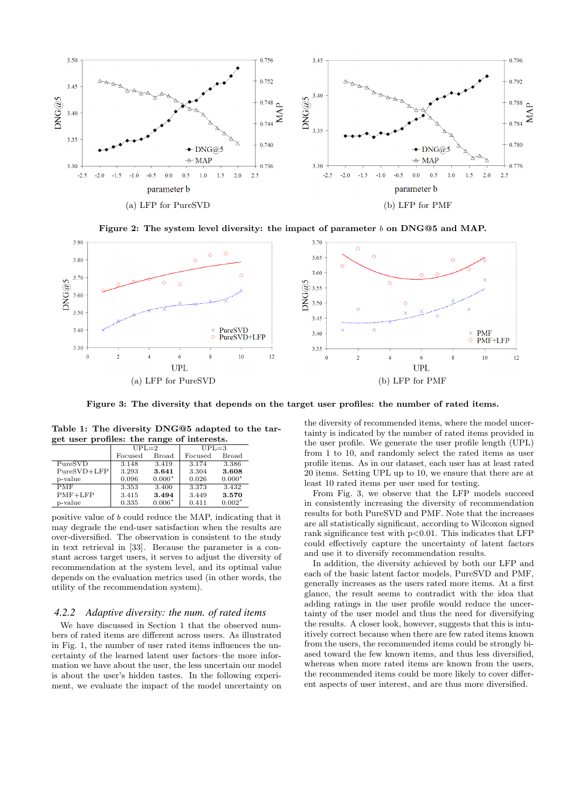

Figure 2: The system level diversity: the impact of parameter b on DNG $@5$  and MAP.



Figure 3: The diversity that depends on the target user profiles: the number of rated items.

Table 1: The diversity DNG@5 adapted to the target user profiles: the range of interests.

|               | $UPL=2$ |          | $UPL=3$ |          |
|---------------|---------|----------|---------|----------|
|               | Focused | Broad    | Focused | Broad    |
| PureSVD       | 3.148   | 3.419    | 3.174   | 3.386    |
| $PureSVD+LFP$ | 3.293   | 3.641    | 3.304   | 3.608    |
| p-value       | 0.096   | $0.000*$ | 0.026   | $0.000*$ |
| <b>PMF</b>    | 3.353   | 3.400    | 3.373   | 3.432    |
| $PMF+LFP$     | 3.415   | 3.494    | 3.449   | 3.570    |
| p-value       | 0.335   | $0.006*$ | 0.411   | $0.002*$ |

positive value of b could reduce the MAP, indicating that it may degrade the end-user satisfaction when the results are over-diversified. The observation is consistent to the study in text retrieval in [33]. Because the parameter is a constant across target users, it serves to adjust the diversity of recommendation at the system level, and its optimal value depends on the evaluation metrics used (in other words, the utility of the recommendation system).

#### *4.2.2 Adaptive diversity: the num. of rated items*

We have discussed in Section 1 that the observed numbers of rated items are different across users. As illustrated in Fig. 1, the number of user rated items influences the uncertainty of the learned latent user factors–the more information we have about the user, the less uncertain our model is about the user's hidden tastes. In the following experiment, we evaluate the impact of the model uncertainty on

the diversity of recommended items, where the model uncertainty is indicated by the number of rated items provided in the user profile. We generate the user profile length (UPL) from 1 to 10, and randomly select the rated items as user profile items. As in our dataset, each user has at least rated 20 items. Setting UPL up to 10, we ensure that there are at least 10 rated items per user used for testing.

From Fig. 3, we observe that the LFP models succeed in consistently increasing the diversity of recommendation results for both PureSVD and PMF. Note that the increases are all statistically significant, according to Wilcoxon signed rank significance test with  $p<0.01$ . This indicates that LFP could effectively capture the uncertainty of latent factors and use it to diversify recommendation results.

In addition, the diversity achieved by both our LFP and each of the basic latent factor models, PureSVD and PMF, generally increases as the users rated more items. At a first glance, the result seems to contradict with the idea that adding ratings in the user profile would reduce the uncertainty of the user model and thus the need for diversifying the results. A closer look, however, suggests that this is intuitively correct because when there are few rated items known from the users, the recommended items could be strongly biased toward the few known items, and thus less diversified, whereas when more rated items are known from the users, the recommended items could be more likely to cover different aspects of user interest, and are thus more diversified.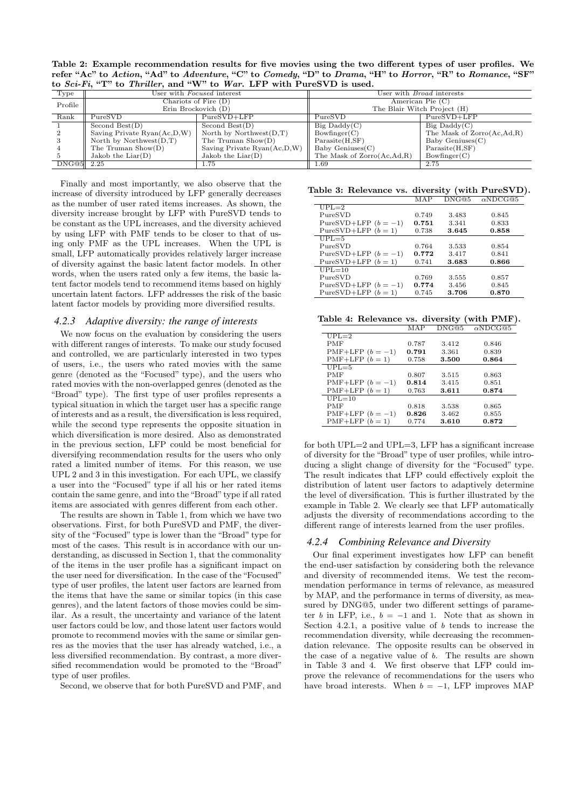Table 2: Example recommendation results for five movies using the two different types of user profiles. We refer "Ac" to Action, "Ad" to Adventure, "C" to Comedy, "D" to Drama, "H" to Horror, "R" to Romance, "SF" to Sci-Fi, "T" to Thriller, and "W" to War. LFP with PureSVD is used.

| Type         | User with <i>Focused</i> interest |                             | User with <i>Broad</i> interests |                            |  |
|--------------|-----------------------------------|-----------------------------|----------------------------------|----------------------------|--|
| Profile      | Chariots of Fire $(D)$            |                             | American Pie $(C)$               |                            |  |
|              | Erin Brockovich (D)               |                             | The Blair Witch Project (H)      |                            |  |
| Rank         | PureSVD                           | $PureSVD+LFP$               | PureSVD                          | PureSVD+LFP                |  |
|              | Second $Best(D)$                  | Second $Best(D)$            | $Big$ Daddy $(C)$                | $Big$ Daddy $(C)$          |  |
|              | Saving Private $Ryan(Ac,D,W)$     | North by Northwest $(D,T)$  | Bowfinger(C)                     | The Mask of Zorro(Ac,Ad,R) |  |
|              | North by Northwest $(D,T)$        | The Truman $Show(D)$        | Parseite(H,SF)                   | Baby Geniuses $(C)$        |  |
|              | The Truman $Show(D)$              | Saving Private Ryan(Ac,D,W) | $B$ aby Geniuses $(C)$           | Parasite(H,SF)             |  |
|              | Jakob the $Liar(D)$               | Jakob the $Liar(D)$         | The Mask of Zorro(Ac,Ad,R)       | Bowfinger(C)               |  |
| $DNG@5$ 2.25 |                                   | 1.75                        | 1.69                             | 2.75                       |  |

Finally and most importantly, we also observe that the increase of diversity introduced by LFP generally decreases as the number of user rated items increases. As shown, the diversity increase brought by LFP with PureSVD tends to be constant as the UPL increases, and the diversity achieved by using LFP with PMF tends to be closer to that of using only PMF as the UPL increases. When the UPL is small, LFP automatically provides relatively larger increase of diversity against the basic latent factor models. In other words, when the users rated only a few items, the basic latent factor models tend to recommend items based on highly uncertain latent factors. LFP addresses the risk of the basic latent factor models by providing more diversified results.

## *4.2.3 Adaptive diversity: the range of interests*

We now focus on the evaluation by considering the users with different ranges of interests. To make our study focused and controlled, we are particularly interested in two types of users, i.e., the users who rated movies with the same genre (denoted as the "Focused" type), and the users who rated movies with the non-overlapped genres (denoted as the "Broad" type). The first type of user profiles represents a typical situation in which the target user has a specific range of interests and as a result, the diversification is less required, while the second type represents the opposite situation in which diversification is more desired. Also as demonstrated in the previous section, LFP could be most beneficial for diversifying recommendation results for the users who only rated a limited number of items. For this reason, we use UPL 2 and 3 in this investigation. For each UPL, we classify a user into the "Focused" type if all his or her rated items contain the same genre, and into the "Broad" type if all rated items are associated with genres different from each other.

The results are shown in Table 1, from which we have two observations. First, for both PureSVD and PMF, the diversity of the "Focused" type is lower than the "Broad" type for most of the cases. This result is in accordance with our understanding, as discussed in Section 1, that the commonality of the items in the user profile has a significant impact on the user need for diversification. In the case of the "Focused" type of user profiles, the latent user factors are learned from the items that have the same or similar topics (in this case genres), and the latent factors of those movies could be similar. As a result, the uncertainty and variance of the latent user factors could be low, and those latent user factors would promote to recommend movies with the same or similar genres as the movies that the user has already watched, i.e., a less diversified recommendation. By contrast, a more diversified recommendation would be promoted to the "Broad" type of user profiles.

Second, we observe that for both PureSVD and PMF, and

#### Table 3: Relevance vs. diversity (with PureSVD).

|                        | MAP   | DNG@5 | $\alpha$ NDCG@5 |
|------------------------|-------|-------|-----------------|
| $UPL=2$                |       |       |                 |
| PureSVD                | 0.749 | 3.483 | 0.845           |
| PureSVD+LFP $(b = -1)$ | 0.751 | 3.341 | 0.833           |
| PureSVD+LFP $(b = 1)$  | 0.738 | 3.645 | 0.858           |
| $UPL=5$                |       |       |                 |
| PureSVD                | 0.764 | 3.533 | 0.854           |
| PureSVD+LFP $(b = -1)$ | 0.772 | 3.417 | 0.841           |
| PureSVD+LFP $(b = 1)$  | 0.741 | 3.683 | 0.866           |
| $UPL = 10$             |       |       |                 |
| PureSVD                | 0.769 | 3.555 | 0.857           |
| PureSVD+LFP $(b = -1)$ | 0.774 | 3.456 | 0.845           |
| PureSVD+LFP $(b = 1)$  | 0.745 | 3.706 | 0.870           |

Table 4: Relevance vs. diversity (with PMF).

|                    | MAP   | DNG@5 | $\alpha$ NDCG@5 |
|--------------------|-------|-------|-----------------|
| $UPL=2$            |       |       |                 |
| <b>PMF</b>         | 0.787 | 3.412 | 0.846           |
| $PMF+LFP (b = -1)$ | 0.791 | 3.361 | 0.839           |
| $PMF+LFP (b=1)$    | 0.758 | 3.500 | 0.864           |
| $UPL=5$            |       |       |                 |
| <b>PMF</b>         | 0.807 | 3.515 | 0.863           |
| PMF+LFP $(b = -1)$ | 0.814 | 3.415 | 0.851           |
| $PMF+LFP (b=1)$    | 0.763 | 3.611 | 0.874           |
| $UPL=10$           |       |       |                 |
| <b>PMF</b>         | 0.818 | 3.538 | 0.865           |
| $PMF+LFP (b = -1)$ | 0.826 | 3.462 | 0.855           |
| $PMF+LFP (b=1)$    | 0.774 | 3.610 | 0.872           |

for both  $UPL=2$  and  $UPL=3$ . LFP has a significant increase of diversity for the "Broad" type of user profiles, while introducing a slight change of diversity for the "Focused" type. The result indicates that LFP could effectively exploit the distribution of latent user factors to adaptively determine the level of diversification. This is further illustrated by the example in Table 2. We clearly see that LFP automatically adjusts the diversity of recommendations according to the different range of interests learned from the user profiles.

#### *4.2.4 Combining Relevance and Diversity*

Our final experiment investigates how LFP can benefit the end-user satisfaction by considering both the relevance and diversity of recommended items. We test the recommendation performance in terms of relevance, as measured by MAP, and the performance in terms of diversity, as measured by DNG@5, under two different settings of parameter b in LFP, i.e.,  $b = -1$  and 1. Note that as shown in Section 4.2.1, a positive value of  $b$  tends to increase the recommendation diversity, while decreasing the recommendation relevance. The opposite results can be observed in the case of a negative value of b. The results are shown in Table 3 and 4. We first observe that LFP could improve the relevance of recommendations for the users who have broad interests. When  $b = -1$ , LFP improves MAP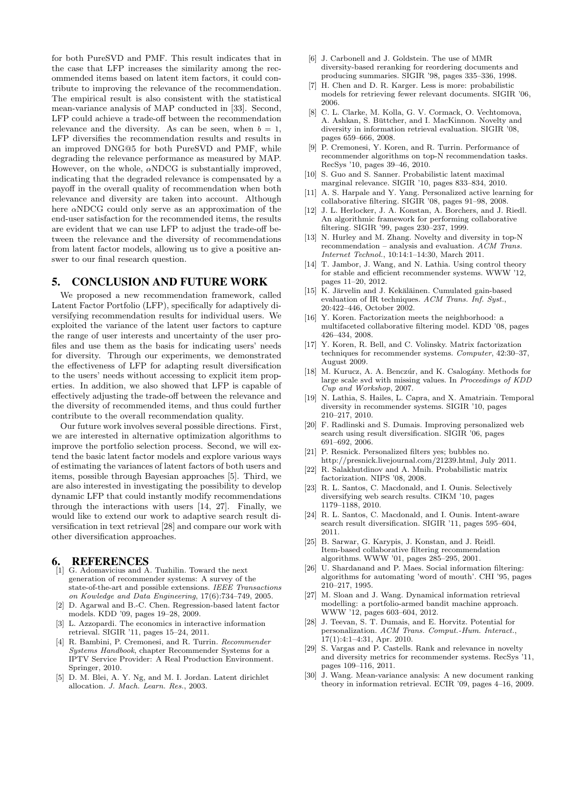for both PureSVD and PMF. This result indicates that in the case that LFP increases the similarity among the recommended items based on latent item factors, it could contribute to improving the relevance of the recommendation. The empirical result is also consistent with the statistical mean-variance analysis of MAP conducted in [33]. Second, LFP could achieve a trade-off between the recommendation relevance and the diversity. As can be seen, when  $b = 1$ , LFP diversifies the recommendation results and results in an improved DNG@5 for both PureSVD and PMF, while degrading the relevance performance as measured by MAP. However, on the whole,  $\alpha NDCG$  is substantially improved, indicating that the degraded relevance is compensated by a payoff in the overall quality of recommendation when both relevance and diversity are taken into account. Although here  $\alpha$ NDCG could only serve as an approximation of the end-user satisfaction for the recommended items, the results are evident that we can use LFP to adjust the trade-off between the relevance and the diversity of recommendations from latent factor models, allowing us to give a positive answer to our final research question.

## 5. CONCLUSION AND FUTURE WORK

We proposed a new recommendation framework, called Latent Factor Portfolio (LFP), specifically for adaptively diversifying recommendation results for individual users. We exploited the variance of the latent user factors to capture the range of user interests and uncertainty of the user profiles and use them as the basis for indicating users' needs for diversity. Through our experiments, we demonstrated the effectiveness of LFP for adapting result diversification to the users' needs without accessing to explicit item properties. In addition, we also showed that LFP is capable of effectively adjusting the trade-off between the relevance and the diversity of recommended items, and thus could further contribute to the overall recommendation quality.

Our future work involves several possible directions. First, we are interested in alternative optimization algorithms to improve the portfolio selection process. Second, we will extend the basic latent factor models and explore various ways of estimating the variances of latent factors of both users and items, possible through Bayesian approaches [5]. Third, we are also interested in investigating the possibility to develop dynamic LFP that could instantly modify recommendations through the interactions with users [14, 27]. Finally, we would like to extend our work to adaptive search result diversification in text retrieval [28] and compare our work with other diversification approaches.

## 6. REFERENCES

- [1] G. Adomavicius and A. Tuzhilin. Toward the next generation of recommender systems: A survey of the state-of-the-art and possible extensions. IEEE Transactions on Kowledge and Data Engineering, 17(6):734–749, 2005.
- [2] D. Agarwal and B.-C. Chen. Regression-based latent factor models. KDD '09, pages 19–28, 2009.
- [3] L. Azzopardi. The economics in interactive information retrieval. SIGIR '11, pages 15–24, 2011.
- [4] R. Bambini, P. Cremonesi, and R. Turrin. Recommender Systems Handbook, chapter Recommender Systems for a IPTV Service Provider: A Real Production Environment. Springer, 2010.
- [5] D. M. Blei, A. Y. Ng, and M. I. Jordan. Latent dirichlet allocation. J. Mach. Learn. Res., 2003.
- [6] J. Carbonell and J. Goldstein. The use of MMR diversity-based reranking for reordering documents and producing summaries. SIGIR '98, pages 335–336, 1998.
- [7] H. Chen and D. R. Karger. Less is more: probabilistic models for retrieving fewer relevant documents. SIGIR '06, 2006.
- [8] C. L. Clarke, M. Kolla, G. V. Cormack, O. Vechtomova, A. Ashkan, S. Büttcher, and I. MacKinnon. Novelty and diversity in information retrieval evaluation. SIGIR '08, pages 659–666, 2008.
- [9] P. Cremonesi, Y. Koren, and R. Turrin. Performance of recommender algorithms on top-N recommendation tasks. RecSys '10, pages 39–46, 2010.
- [10] S. Guo and S. Sanner. Probabilistic latent maximal marginal relevance. SIGIR '10, pages 833–834, 2010.
- [11] A. S. Harpale and Y. Yang. Personalized active learning for collaborative filtering. SIGIR '08, pages 91–98, 2008.
- [12] J. L. Herlocker, J. A. Konstan, A. Borchers, and J. Riedl. An algorithmic framework for performing collaborative filtering. SIGIR '99, pages 230–237, 1999.
- [13] N. Hurley and M. Zhang. Novelty and diversity in top-N recommendation – analysis and evaluation. ACM Trans. Internet Technol., 10:14:1–14:30, March 2011.
- [14] T. Jambor, J. Wang, and N. Lathia. Using control theory for stable and efficient recommender systems. WWW '12, pages 11–20, 2012.
- [15] K. Järvelin and J. Kekäläinen. Cumulated gain-based evaluation of IR techniques. ACM Trans. Inf. Syst., 20:422–446, October 2002.
- [16] Y. Koren. Factorization meets the neighborhood: a multifaceted collaborative filtering model. KDD '08, pages 426–434, 2008.
- [17] Y. Koren, R. Bell, and C. Volinsky. Matrix factorization techniques for recommender systems. Computer, 42:30–37, August 2009.
- [18] M. Kurucz, A. A. Benczúr, and K. Csalogány. Methods for large scale svd with missing values. In Proceedings of KDD Cup and Workshop, 2007.
- [19] N. Lathia, S. Hailes, L. Capra, and X. Amatriain. Temporal diversity in recommender systems. SIGIR '10, pages 210–217, 2010.
- [20] F. Radlinski and S. Dumais. Improving personalized web search using result diversification. SIGIR '06, pages 691–692, 2006.
- [21] P. Resnick. Personalized filters yes; bubbles no. http://presnick.livejournal.com/21239.html, July 2011.
- [22] R. Salakhutdinov and A. Mnih. Probabilistic matrix factorization. NIPS '08, 2008.
- [23] R. L. Santos, C. Macdonald, and I. Ounis. Selectively diversifying web search results. CIKM '10, pages 1179–1188, 2010.
- [24] R. L. Santos, C. Macdonald, and I. Ounis. Intent-aware search result diversification. SIGIR '11, pages 595–604, 2011.
- [25] B. Sarwar, G. Karypis, J. Konstan, and J. Reidl. Item-based collaborative filtering recommendation algorithms. WWW '01, pages 285–295, 2001.
- [26] U. Shardanand and P. Maes. Social information filtering: algorithms for automating 'word of mouth'. CHI '95, pages 210–217, 1995.
- [27] M. Sloan and J. Wang. Dynamical information retrieval modelling: a portfolio-armed bandit machine approach. WWW '12, pages 603–604, 2012.
- [28] J. Teevan, S. T. Dumais, and E. Horvitz. Potential for personalization. ACM Trans. Comput.-Hum. Interact., 17(1):4:1–4:31, Apr. 2010.
- [29] S. Vargas and P. Castells. Rank and relevance in novelty and diversity metrics for recommender systems. RecSys '11, pages 109–116, 2011.
- [30] J. Wang. Mean-variance analysis: A new document ranking theory in information retrieval. ECIR '09, pages 4–16, 2009.